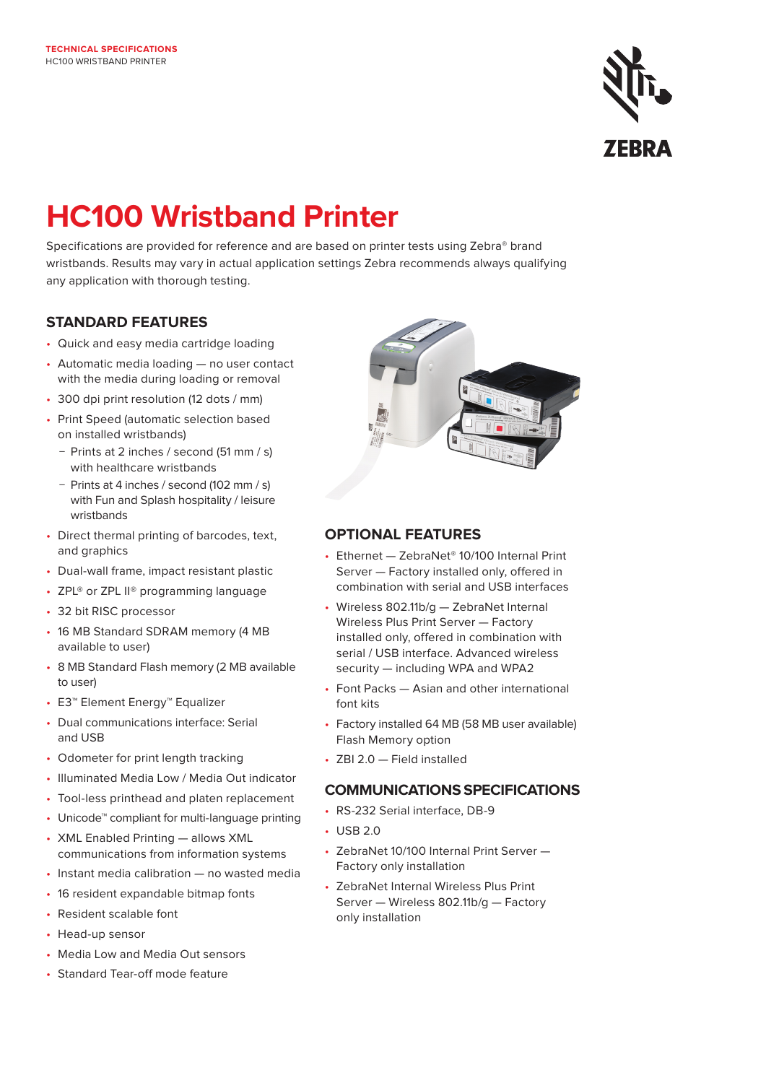

# **HC100 Wristband Printer**

Specifications are provided for reference and are based on printer tests using Zebra® brand wristbands. Results may vary in actual application settings Zebra recommends always qualifying any application with thorough testing.

## **STANDARD FEATURES**

- Quick and easy media cartridge loading
- Automatic media loading no user contact with the media during loading or removal
- 300 dpi print resolution (12 dots / mm)
- Print Speed (automatic selection based on installed wristbands)
	- − Prints at 2 inches / second (51 mm / s) with healthcare wristhands
	- − Prints at 4 inches / second (102 mm / s) with Fun and Splash hospitality / leisure wristbands
- Direct thermal printing of barcodes, text, and graphics
- Dual-wall frame, impact resistant plastic
- ZPL<sup>®</sup> or ZPL II<sup>®</sup> programming language
- 32 bit RISC processor
- 16 MB Standard SDRAM memory (4 MB available to user)
- 8 MB Standard Flash memory (2 MB available to user)
- E3™ Element Energy™ Equalizer
- Dual communications interface: Serial and USB
- Odometer for print length tracking
- Illuminated Media Low / Media Out indicator
- Tool-less printhead and platen replacement
- Unicode™ compliant for multi-language printing
- XML Enabled Printing allows XML communications from information systems
- Instant media calibration no wasted media
- 16 resident expandable bitmap fonts
- Resident scalable font
- Head-up sensor
- Media Low and Media Out sensors
- Standard Tear-off mode feature



# **OPTIONAL FEATURES**

- Ethernet ZebraNet® 10/100 Internal Print Server — Factory installed only, offered in combination with serial and USB interfaces
- Wireless 802.11b/g ZebraNet Internal Wireless Plus Print Server — Factory installed only, offered in combination with serial / USB interface. Advanced wireless security — including WPA and WPA2
- Font Packs Asian and other international font kits
- Factory installed 64 MB (58 MB user available) Flash Memory option
- ZBI 2.0 Field installed

## **COMMUNICATIONS SPECIFICATIONS**

- RS-232 Serial interface, DB-9
- USB 2.0
- ZebraNet 10/100 Internal Print Server Factory only installation
- ZebraNet Internal Wireless Plus Print Server — Wireless 802.11b/g — Factory only installation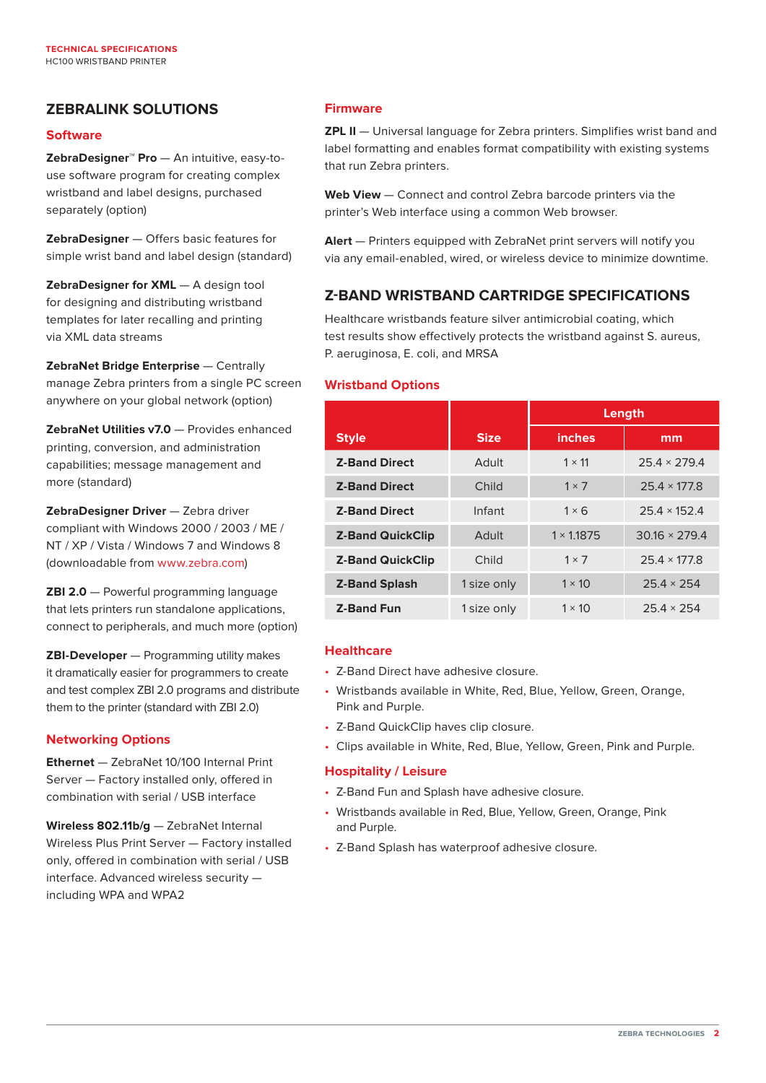# **ZEBRALINK SOLUTIONS**

#### **Software**

**ZebraDesigner™ Pro** — An intuitive, easy-touse software program for creating complex wristband and label designs, purchased separately (option)

**ZebraDesigner** — Offers basic features for simple wrist band and label design (standard)

**ZebraDesigner for XML** — A design tool for designing and distributing wristband templates for later recalling and printing via XML data streams

**ZebraNet Bridge Enterprise** — Centrally manage Zebra printers from a single PC screen anywhere on your global network (option)

**ZebraNet Utilities v7.0** — Provides enhanced printing, conversion, and administration capabilities; message management and more (standard)

**ZebraDesigner Driver** — Zebra driver compliant with Windows 2000 / 2003 / ME / NT / XP / Vista / Windows 7 and Windows 8 (downloadable from [www.zebra.com](https://www.zebra.com/us/en/products/software/barcode-printers/link-os/zebradesigner-xml.html))

**ZBI 2.0** — Powerful programming language that lets printers run standalone applications, connect to peripherals, and much more (option)

**ZBI-Developer** — Programming utility makes it dramatically easier for programmers to create and test complex ZBI 2.0 programs and distribute them to the printer (standard with ZBI 2.0)

#### **Networking Options**

**Ethernet** — ZebraNet 10/100 Internal Print Server — Factory installed only, offered in combination with serial / USB interface

**Wireless 802.11b/g** — ZebraNet Internal Wireless Plus Print Server — Factory installed only, offered in combination with serial / USB interface. Advanced wireless security including WPA and WPA2

## **Firmware**

**ZPL II** - Universal language for Zebra printers. Simplifies wrist band and label formatting and enables format compatibility with existing systems that run Zebra printers.

**Web View** — Connect and control Zebra barcode printers via the printer's Web interface using a common Web browser.

**Alert** — Printers equipped with ZebraNet print servers will notify you via any email-enabled, wired, or wireless device to minimize downtime.

## **Z-BAND WRISTBAND CARTRIDGE SPECIFICATIONS**

Healthcare wristbands feature silver antimicrobial coating, which test results show effectively protects the wristband against S. aureus, P. aeruginosa, E. coli, and MRSA

#### **Wristband Options**

|                         |              | Length            |                      |
|-------------------------|--------------|-------------------|----------------------|
| <b>Style</b>            | <b>Size</b>  | inches            | mm                   |
| <b>Z-Band Direct</b>    | Adult        | $1 \times 11$     | $25.4 \times 279.4$  |
| <b>Z-Band Direct</b>    | Child        | $1 \times 7$      | $25.4 \times 177.8$  |
| <b>Z-Band Direct</b>    | Infant       | $1 \times 6$      | $25.4 \times 152.4$  |
| <b>Z-Band QuickClip</b> | <b>Adult</b> | $1 \times 1.1875$ | $30.16 \times 279.4$ |
| <b>Z-Band QuickClip</b> | Child        | $1 \times 7$      | $25.4 \times 177.8$  |
| <b>Z-Band Splash</b>    | 1 size only  | $1 \times 10$     | $25.4 \times 254$    |
| <b>Z-Band Fun</b>       | 1 size only  | $1 \times 10$     | $25.4 \times 254$    |

#### **Healthcare**

- Z-Band Direct have adhesive closure.
- Wristbands available in White, Red, Blue, Yellow, Green, Orange, Pink and Purple.
- Z-Band QuickClip haves clip closure.
- Clips available in White, Red, Blue, Yellow, Green, Pink and Purple.

#### **Hospitality / Leisure**

- Z-Band Fun and Splash have adhesive closure.
- Wristbands available in Red, Blue, Yellow, Green, Orange, Pink and Purple.
- Z-Band Splash has waterproof adhesive closure.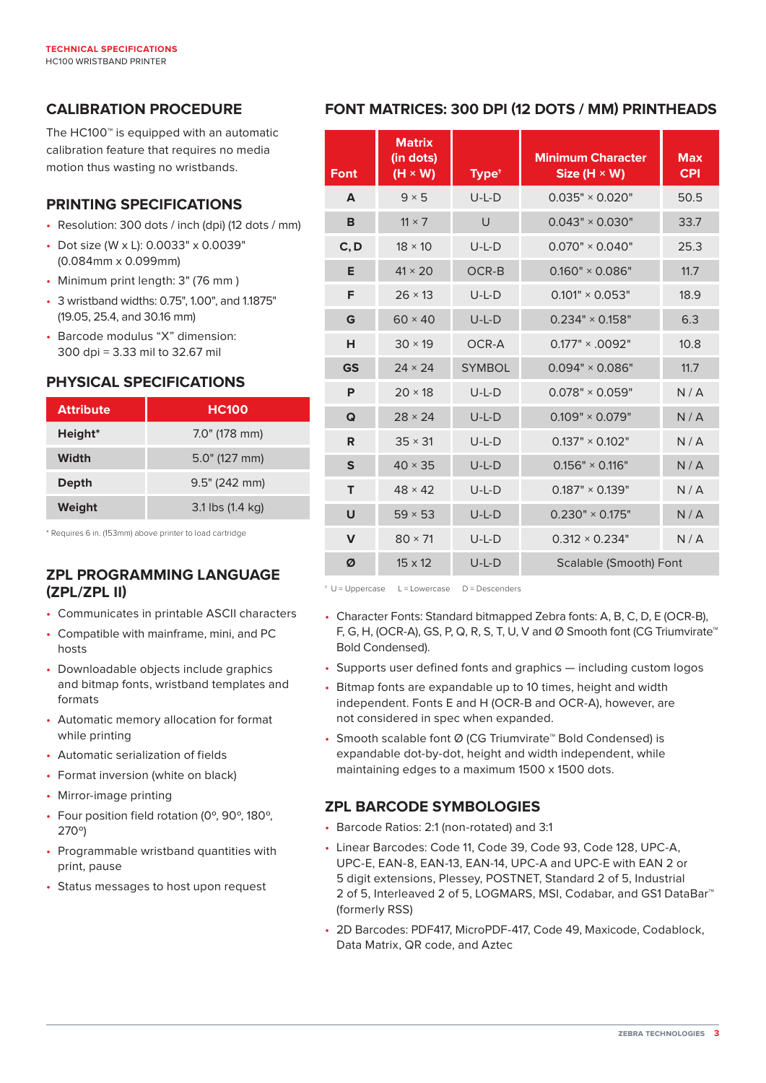# **CALIBRATION PROCEDURE**

The HC100™ is equipped with an automatic calibration feature that requires no media motion thus wasting no wristbands.

## **PRINTING SPECIFICATIONS**

- Resolution: 300 dots / inch (dpi) (12 dots / mm)
- Dot size (W x L): 0.0033" x 0.0039" (0.084mm x 0.099mm)
- Minimum print length: 3" (76 mm )
- 3 wristband widths: 0.75", 1.00", and 1.1875" (19.05, 25.4, and 30.16 mm)
- Barcode modulus "X" dimension: 300 dpi = 3.33 mil to 32.67 mil

# **PHYSICAL SPECIFICATIONS**

| <b>Attribute</b>    | <b>HC100</b>     |  |  |
|---------------------|------------------|--|--|
| Height <sup>*</sup> | 7.0" (178 mm)    |  |  |
| Width               | $5.0$ " (127 mm) |  |  |
| Depth               | 9.5" (242 mm)    |  |  |
| Weight              | 3.1 lbs (1.4 kg) |  |  |

\* Requires 6 in. (153mm) above printer to load cartridge

# **ZPL PROGRAMMING LANGUAGE (ZPL/ZPL II)**

- Communicates in printable ASCII characters
- Compatible with mainframe, mini, and PC hosts
- Downloadable objects include graphics and bitmap fonts, wristband templates and formats
- Automatic memory allocation for format while printing
- Automatic serialization of fields
- Format inversion (white on black)
- Mirror-image printing
- Four position field rotation (0º, 90º, 180º, 270º)
- Programmable wristband quantities with print, pause
- Status messages to host upon request

# **FONT MATRICES: 300 DPI (12 DOTS / MM) PRINTHEADS**

| <b>Font</b>  | <b>Matrix</b><br>(in dots)<br>$(H \times W)$ | Type <sup>+</sup> | <b>Minimum Character</b><br>Size $(H \times W)$ | <b>Max</b><br><b>CPI</b> |
|--------------|----------------------------------------------|-------------------|-------------------------------------------------|--------------------------|
| A            | $9 \times 5$                                 | $U-L-D$           | $0.035" \times 0.020"$                          | 50.5                     |
| в            | $11 \times 7$                                | U                 | $0.043" \times 0.030"$                          | 33.7                     |
| C, D         | $18 \times 10$                               | $U-L-D$           | $0.070" \times 0.040"$                          | 25.3                     |
| Е            | $41 \times 20$                               | OCR-B             | $0.160" \times 0.086"$                          | 11.7                     |
| F            | $26 \times 13$                               | $U-L-D$           | $0.101" \times 0.053"$                          | 18.9                     |
| G            | $60 \times 40$                               | $U-L-D$           | $0.234" \times 0.158"$                          | 6.3                      |
| н            | $30 \times 19$                               | OCR-A             | $0.177" \times 0.092"$                          | 10.8                     |
| <b>GS</b>    | $24 \times 24$                               | <b>SYMBOL</b>     | $0.094" \times 0.086"$                          | 11.7                     |
| P            | $20 \times 18$                               | $U-L-D$           | $0.078" \times 0.059"$                          | N/A                      |
| Q            | $28 \times 24$                               | $U-L-D$           | $0.109" \times 0.079"$                          | N/A                      |
| R            | $35 \times 31$                               | $U-L-D$           | $0.137" \times 0.102"$                          | N/A                      |
| S            | $40 \times 35$                               | $U-L-D$           | $0.156" \times 0.116"$                          | N/A                      |
| т            | $48 \times 42$                               | $U-L-D$           | $0.187" \times 0.139"$                          | N/A                      |
| U            | $59 \times 53$                               | $U-L-D$           | $0.230" \times 0.175"$                          | N/A                      |
| $\mathsf{V}$ | $80 \times 71$                               | $U-L-D$           | $0.312 \times 0.234$ "                          | N/A                      |
| Ø            | $15 \times 12$                               | $U-L-D$           | Scalable (Smooth) Font                          |                          |

 $\pm U$  = Uppercase L = Lowercase D = Descenders

- Character Fonts: Standard bitmapped Zebra fonts: A, B, C, D, E (OCR-B), F, G, H, (OCR-A), GS, P, Q, R, S, T, U, V and Ø Smooth font (CG Triumvirate™ Bold Condensed).
- Supports user defined fonts and graphics including custom logos
- Bitmap fonts are expandable up to 10 times, height and width independent. Fonts E and H (OCR-B and OCR-A), however, are not considered in spec when expanded.
- Smooth scalable font Ø (CG Triumvirate<sup>™</sup> Bold Condensed) is expandable dot-by-dot, height and width independent, while maintaining edges to a maximum 1500 x 1500 dots.

# **ZPL BARCODE SYMBOLOGIES**

- Barcode Ratios: 2:1 (non-rotated) and 3:1
- Linear Barcodes: Code 11, Code 39, Code 93, Code 128, UPC-A, UPC-E, EAN-8, EAN-13, EAN-14, UPC-A and UPC-E with EAN 2 or 5 digit extensions, Plessey, POSTNET, Standard 2 of 5, Industrial 2 of 5, Interleaved 2 of 5, LOGMARS, MSI, Codabar, and GS1 DataBar™ (formerly RSS)
- 2D Barcodes: PDF417, MicroPDF-417, Code 49, Maxicode, Codablock, Data Matrix, QR code, and Aztec